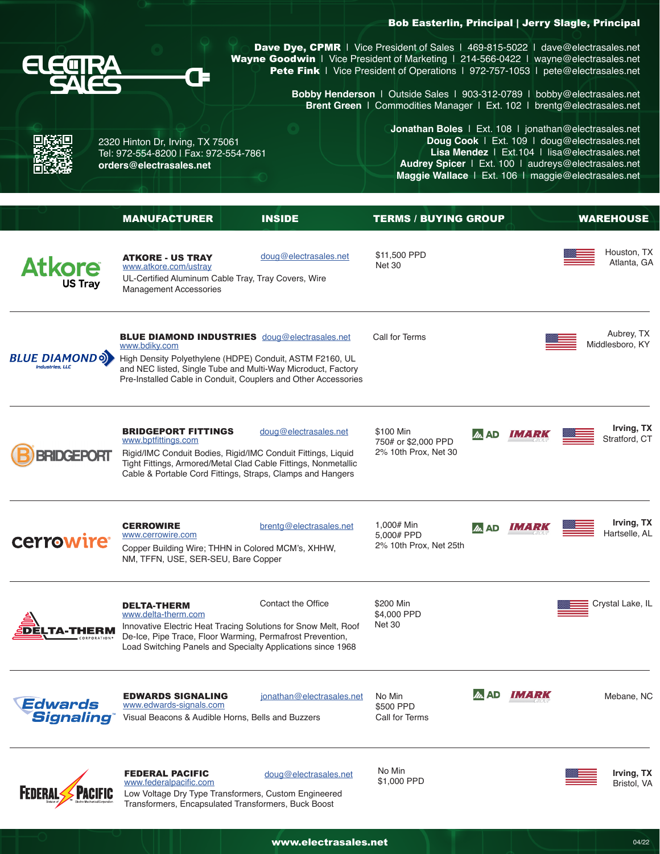## Bob Easterlin, Principal | Jerry Slagle, Principal



2320 Hinton Dr, Irving, TX 75061 Tel: 972-554-8200 | Fax: 972-554-7861

ŒΠ

**[orders@electrasales.net](mailto:orders@electrasales.net)**

[Dave Dye](mailto:dave%40electrasales.net?subject=), CPMR | Vice President of Sales | 469-815-5022 | [dave@electrasales.net](mailto:dave%40electrasales.net?subject=) [Wayne Goodwin](mailto:wayne%40electrasales.net?subject=) | Vice President of Marketing | 214-566-0422 | [wayne@electrasales.net](mailto:wayne%40electrasales.net?subject=) [Pete Fink](mailto:pete%40electrasales.net?subject=) | Vice President of Operations | 972-757-1053 | pete[@electrasales.net](mailto:pete%40electrasales.net?subject=)

> **Bobby Henderson** | Outside Sales | 903-312-0789 | [bobby@electrasales.net](mailto:bobby%40electrasales.net%20?subject=) **Brent Green** [| Commodities Manager | Ext. 102 | brentg@electrasales.net](mailto:bobby%40electrasales.net%20?subject=)

> > **Jonathan Boles** | Ext. 108 | [jonathan@electrasales.net](mailto:jonathan%40electrasales.net?subject=) **Doug Cook** | Ext. 109 | [doug@electrasales.net](mailto:doug%40electrasales.net%20?subject=) **Lisa Mendez** | Ext.104 | [lisa@electrasales.net](mailto:lisa%40electrasales.net?subject=) **Audrey Spicer** | Ext. 100 | [audreys@electrasales.net](mailto:audreys%40electrasales.net?subject=) **Maggie Wallace** | Ext. 106 | [maggie@electrasales.net](mailto:maggie%40electrasales.net?subject=)

|                                          | <b>MANUFACTURER</b>                                                                                                                                                             | <b>INSIDE</b>                                                                                                                                       | <b>TERMS / BUYING GROUP</b>                              |                |        | <b>WAREHOUSE</b>              |
|------------------------------------------|---------------------------------------------------------------------------------------------------------------------------------------------------------------------------------|-----------------------------------------------------------------------------------------------------------------------------------------------------|----------------------------------------------------------|----------------|--------|-------------------------------|
| <b>Atkore</b><br><b>US Tray</b>          | <b>ATKORE - US TRAY</b><br>www.atkore.com/ustray<br>UL-Certified Aluminum Cable Tray, Tray Covers, Wire<br><b>Management Accessories</b>                                        | doug@electrasales.net                                                                                                                               | \$11,500 PPD<br><b>Net 30</b>                            |                |        | Houston, TX<br>Atlanta, GA    |
| <b>BLUE DIAMONDOL</b><br>Industries, LLC | <b>BLUE DIAMOND INDUSTRIES</b> doug@electrasales.net<br>www.bdiky.com<br>High Density Polyethylene (HDPE) Conduit, ASTM F2160, UL                                               | and NEC listed, Single Tube and Multi-Way Microduct, Factory<br>Pre-Installed Cable in Conduit, Couplers and Other Accessories                      | Call for Terms                                           |                |        | Aubrey, TX<br>Middlesboro, KY |
|                                          | <b>BRIDGEPORT FITTINGS</b><br>www.bptfittings.com<br>Rigid/IMC Conduit Bodies, Rigid/IMC Conduit Fittings, Liquid<br>Cable & Portable Cord Fittings, Straps, Clamps and Hangers | doug@electrasales.net<br>Tight Fittings, Armored/Metal Clad Cable Fittings, Nonmetallic                                                             | \$100 Min<br>750# or \$2,000 PPD<br>2% 10th Prox, Net 30 | AD             | IMARK  | Irving, TX<br>Stratford, CT   |
| cerrowire                                | <b>CERROWIRE</b><br>www.cerrowire.com<br>Copper Building Wire; THHN in Colored MCM's, XHHW,<br>NM, TFFN, USE, SER-SEU, Bare Copper                                              | brentg@electrasales.net                                                                                                                             | 1,000# Min<br>5,000# PPD<br>2% 10th Prox, Net 25th       | $\ln$ AD       | IMARI. | Irving, TX<br>Hartselle, AL   |
|                                          | <b>DELTA-THERM</b><br>www.delta-therm.com<br>De-Ice, Pipe Trace, Floor Warming, Permafrost Prevention,                                                                          | Contact the Office<br>Innovative Electric Heat Tracing Solutions for Snow Melt, Roof<br>Load Switching Panels and Specialty Applications since 1968 | \$200 Min<br>\$4,000 PPD<br><b>Net 30</b>                |                |        | Crystal Lake, IL              |
| Edwards<br><b>Signaling</b>              | <b>EDWARDS SIGNALING</b><br>www.edwards-signals.com<br>Visual Beacons & Audible Horns, Bells and Buzzers                                                                        | jonathan@electrasales.net                                                                                                                           | No Min<br>\$500 PPD<br>Call for Terms                    | m<br><b>AD</b> | IMARK  | Mebane, NC                    |
| PACIFIC<br><b>FEDERAL</b>                | <b>FEDERAL PACIFIC</b><br>www.federalpacific.com<br>Low Voltage Dry Type Transformers, Custom Engineered<br>Transformers, Encapsulated Transformers, Buck Boost                 | doug@electrasales.net                                                                                                                               | No Min<br>\$1,000 PPD                                    |                |        | Irving, TX<br>Bristol, VA     |